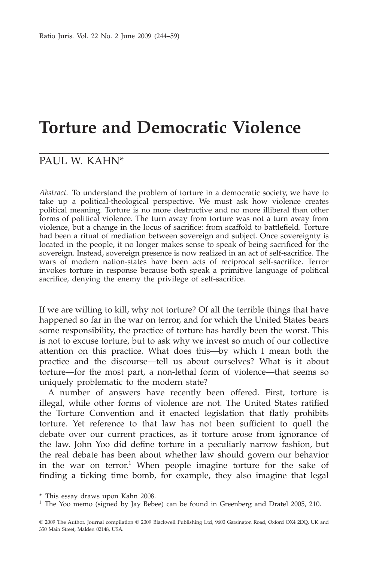## **Torture and Democratic Violence**

## PAUL W. KAHN\*

*Abstract.* To understand the problem of torture in a democratic society, we have to take up a political-theological perspective. We must ask how violence creates political meaning. Torture is no more destructive and no more illiberal than other forms of political violence. The turn away from torture was not a turn away from violence, but a change in the locus of sacrifice: from scaffold to battlefield. Torture had been a ritual of mediation between sovereign and subject. Once sovereignty is located in the people, it no longer makes sense to speak of being sacrificed for the sovereign. Instead, sovereign presence is now realized in an act of self-sacrifice. The wars of modern nation-states have been acts of reciprocal self-sacrifice. Terror invokes torture in response because both speak a primitive language of political sacrifice, denying the enemy the privilege of self-sacrifice.

If we are willing to kill, why not torture? Of all the terrible things that have happened so far in the war on terror, and for which the United States bears some responsibility, the practice of torture has hardly been the worst. This is not to excuse torture, but to ask why we invest so much of our collective attention on this practice. What does this—by which I mean both the practice and the discourse—tell us about ourselves? What is it about torture—for the most part, a non-lethal form of violence—that seems so uniquely problematic to the modern state?

A number of answers have recently been offered. First, torture is illegal, while other forms of violence are not. The United States ratified the Torture Convention and it enacted legislation that flatly prohibits torture. Yet reference to that law has not been sufficient to quell the debate over our current practices, as if torture arose from ignorance of the law. John Yoo did define torture in a peculiarly narrow fashion, but the real debate has been about whether law should govern our behavior in the war on terror.<sup>1</sup> When people imagine torture for the sake of finding a ticking time bomb, for example, they also imagine that legal

\* This essay draws upon Kahn 2008.

<sup>&</sup>lt;sup>1</sup> The Yoo memo (signed by Jay Bebee) can be found in Greenberg and Dratel 2005, 210.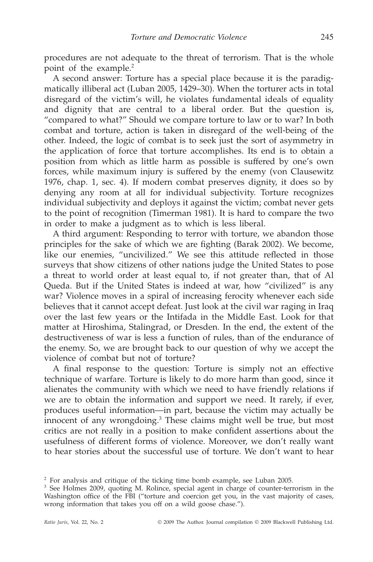procedures are not adequate to the threat of terrorism. That is the whole point of the example.<sup>2</sup>

A second answer: Torture has a special place because it is the paradigmatically illiberal act (Luban 2005, 1429–30). When the torturer acts in total disregard of the victim's will, he violates fundamental ideals of equality and dignity that are central to a liberal order. But the question is, "compared to what?" Should we compare torture to law or to war? In both combat and torture, action is taken in disregard of the well-being of the other. Indeed, the logic of combat is to seek just the sort of asymmetry in the application of force that torture accomplishes. Its end is to obtain a position from which as little harm as possible is suffered by one's own forces, while maximum injury is suffered by the enemy (von Clausewitz 1976, chap. 1, sec. 4). If modern combat preserves dignity, it does so by denying any room at all for individual subjectivity. Torture recognizes individual subjectivity and deploys it against the victim; combat never gets to the point of recognition (Timerman 1981). It is hard to compare the two in order to make a judgment as to which is less liberal.

A third argument: Responding to terror with torture, we abandon those principles for the sake of which we are fighting (Barak 2002). We become, like our enemies, "uncivilized." We see this attitude reflected in those surveys that show citizens of other nations judge the United States to pose a threat to world order at least equal to, if not greater than, that of Al Queda. But if the United States is indeed at war, how "civilized" is any war? Violence moves in a spiral of increasing ferocity whenever each side believes that it cannot accept defeat. Just look at the civil war raging in Iraq over the last few years or the Intifada in the Middle East. Look for that matter at Hiroshima, Stalingrad, or Dresden. In the end, the extent of the destructiveness of war is less a function of rules, than of the endurance of the enemy. So, we are brought back to our question of why we accept the violence of combat but not of torture?

A final response to the question: Torture is simply not an effective technique of warfare. Torture is likely to do more harm than good, since it alienates the community with which we need to have friendly relations if we are to obtain the information and support we need. It rarely, if ever, produces useful information—in part, because the victim may actually be innocent of any wrongdoing.<sup>3</sup> These claims might well be true, but most critics are not really in a position to make confident assertions about the usefulness of different forms of violence. Moreover, we don't really want to hear stories about the successful use of torture. We don't want to hear

<sup>&</sup>lt;sup>2</sup> For analysis and critique of the ticking time bomb example, see Luban 2005.

<sup>&</sup>lt;sup>3</sup> See Holmes 2009, quoting M. Rolince, special agent in charge of counter-terrorism in the Washington office of the FBI ("torture and coercion get you, in the vast majority of cases, wrong information that takes you off on a wild goose chase.").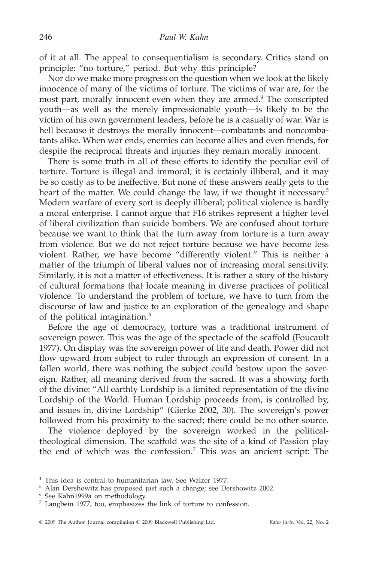of it at all. The appeal to consequentialism is secondary. Critics stand on principle: "no torture," period. But why this principle?

Nor do we make more progress on the question when we look at the likely innocence of many of the victims of torture. The victims of war are, for the most part, morally innocent even when they are armed.<sup>4</sup> The conscripted youth—as well as the merely impressionable youth—is likely to be the victim of his own government leaders, before he is a casualty of war. War is hell because it destroys the morally innocent—combatants and noncombatants alike. When war ends, enemies can become allies and even friends, for despite the reciprocal threats and injuries they remain morally innocent.

There is some truth in all of these efforts to identify the peculiar evil of torture. Torture is illegal and immoral; it is certainly illiberal, and it may be so costly as to be ineffective. But none of these answers really gets to the heart of the matter. We could change the law, if we thought it necessary.<sup>5</sup> Modern warfare of every sort is deeply illiberal; political violence is hardly a moral enterprise. I cannot argue that F16 strikes represent a higher level of liberal civilization than suicide bombers. We are confused about torture because we want to think that the turn away from torture is a turn away from violence. But we do not reject torture because we have become less violent. Rather, we have become "differently violent." This is neither a matter of the triumph of liberal values nor of increasing moral sensitivity. Similarly, it is not a matter of effectiveness. It is rather a story of the history of cultural formations that locate meaning in diverse practices of political violence. To understand the problem of torture, we have to turn from the discourse of law and justice to an exploration of the genealogy and shape of the political imagination.<sup>6</sup>

Before the age of democracy, torture was a traditional instrument of sovereign power. This was the age of the spectacle of the scaffold (Foucault 1977). On display was the sovereign power of life and death. Power did not flow upward from subject to ruler through an expression of consent. In a fallen world, there was nothing the subject could bestow upon the sovereign. Rather, all meaning derived from the sacred. It was a showing forth of the divine: "All earthly Lordship is a limited representation of the divine Lordship of the World. Human Lordship proceeds from, is controlled by, and issues in, divine Lordship" (Gierke 2002, 30). The sovereign's power followed from his proximity to the sacred; there could be no other source.

The violence deployed by the sovereign worked in the politicaltheological dimension. The scaffold was the site of a kind of Passion play the end of which was the confession.7 This was an ancient script: The

<sup>6</sup> See Kahn1999a on methodology.

<sup>4</sup> This idea is central to humanitarian law. See Walzer 1977.

<sup>5</sup> Alan Dershowitz has proposed just such a change; see Dershowitz 2002.

<sup>7</sup> Langbein 1977, too, emphasizes the link of torture to confession.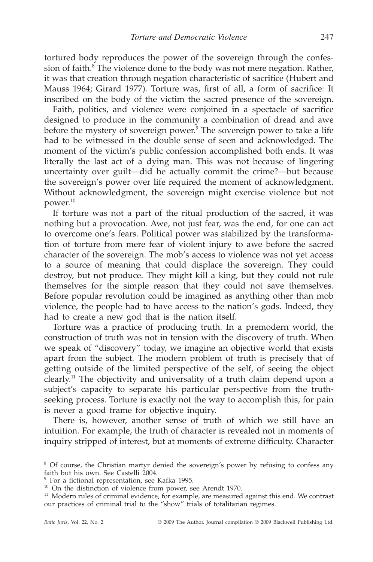tortured body reproduces the power of the sovereign through the confession of faith.<sup>8</sup> The violence done to the body was not mere negation. Rather, it was that creation through negation characteristic of sacrifice (Hubert and Mauss 1964; Girard 1977). Torture was, first of all, a form of sacrifice: It inscribed on the body of the victim the sacred presence of the sovereign.

Faith, politics, and violence were conjoined in a spectacle of sacrifice designed to produce in the community a combination of dread and awe before the mystery of sovereign power.<sup>9</sup> The sovereign power to take a life had to be witnessed in the double sense of seen and acknowledged. The moment of the victim's public confession accomplished both ends. It was literally the last act of a dying man. This was not because of lingering uncertainty over guilt—did he actually commit the crime?—but because the sovereign's power over life required the moment of acknowledgment. Without acknowledgment, the sovereign might exercise violence but not power.10

If torture was not a part of the ritual production of the sacred, it was nothing but a provocation. Awe, not just fear, was the end, for one can act to overcome one's fears. Political power was stabilized by the transformation of torture from mere fear of violent injury to awe before the sacred character of the sovereign. The mob's access to violence was not yet access to a source of meaning that could displace the sovereign. They could destroy, but not produce. They might kill a king, but they could not rule themselves for the simple reason that they could not save themselves. Before popular revolution could be imagined as anything other than mob violence, the people had to have access to the nation's gods. Indeed, they had to create a new god that is the nation itself.

Torture was a practice of producing truth. In a premodern world, the construction of truth was not in tension with the discovery of truth. When we speak of "discovery" today, we imagine an objective world that exists apart from the subject. The modern problem of truth is precisely that of getting outside of the limited perspective of the self, of seeing the object clearly.<sup>11</sup> The objectivity and universality of a truth claim depend upon a subject's capacity to separate his particular perspective from the truthseeking process. Torture is exactly not the way to accomplish this, for pain is never a good frame for objective inquiry.

There is, however, another sense of truth of which we still have an intuition. For example, the truth of character is revealed not in moments of inquiry stripped of interest, but at moments of extreme difficulty. Character

<sup>8</sup> Of course, the Christian martyr denied the sovereign's power by refusing to confess any faith but his own. See Castelli 2004.

<sup>9</sup> For a fictional representation, see Kafka 1995.

<sup>&</sup>lt;sup>10</sup> On the distinction of violence from power, see Arendt 1970.

 $11$  Modern rules of criminal evidence, for example, are measured against this end. We contrast our practices of criminal trial to the "show" trials of totalitarian regimes.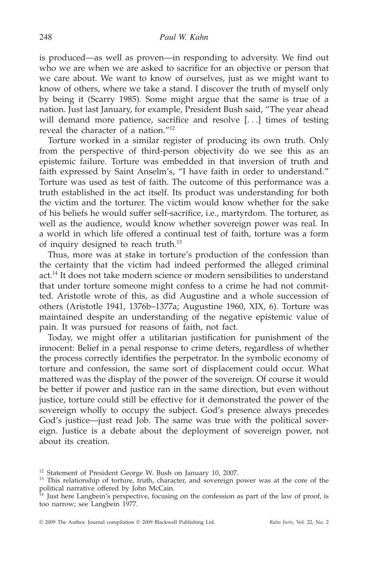is produced—as well as proven—in responding to adversity. We find out who we are when we are asked to sacrifice for an objective or person that we care about. We want to know of ourselves, just as we might want to know of others, where we take a stand. I discover the truth of myself only by being it (Scarry 1985). Some might argue that the same is true of a nation. Just last January, for example, President Bush said, "The year ahead will demand more patience, sacrifice and resolve [. . .] times of testing reveal the character of a nation."12

Torture worked in a similar register of producing its own truth. Only from the perspective of third-person objectivity do we see this as an epistemic failure. Torture was embedded in that inversion of truth and faith expressed by Saint Anselm's, "I have faith in order to understand." Torture was used as test of faith. The outcome of this performance was a truth established in the act itself. Its product was understanding for both the victim and the torturer. The victim would know whether for the sake of his beliefs he would suffer self-sacrifice, i.e., martyrdom. The torturer, as well as the audience, would know whether sovereign power was real. In a world in which life offered a continual test of faith, torture was a form of inquiry designed to reach truth.13

Thus, more was at stake in torture's production of the confession than the certainty that the victim had indeed performed the alleged criminal act.14 It does not take modern science or modern sensibilities to understand that under torture someone might confess to a crime he had not committed. Aristotle wrote of this, as did Augustine and a whole succession of others (Aristotle 1941, 1376b–1377a; Augustine 1960, XIX, 6). Torture was maintained despite an understanding of the negative epistemic value of pain. It was pursued for reasons of faith, not fact.

Today, we might offer a utilitarian justification for punishment of the innocent: Belief in a penal response to crime deters, regardless of whether the process correctly identifies the perpetrator. In the symbolic economy of torture and confession, the same sort of displacement could occur. What mattered was the display of the power of the sovereign. Of course it would be better if power and justice ran in the same direction, but even without justice, torture could still be effective for it demonstrated the power of the sovereign wholly to occupy the subject. God's presence always precedes God's justice—just read Job. The same was true with the political sovereign. Justice is a debate about the deployment of sovereign power, not about its creation.

<sup>&</sup>lt;sup>12</sup> Statement of President George W. Bush on January 10, 2007.

<sup>&</sup>lt;sup>13</sup> This relationship of torture, truth, character, and sovereign power was at the core of the political narrative offered by John McCain.

 $14$  Just here Langbein's perspective, focusing on the confession as part of the law of proof, is too narrow; see Langbein 1977.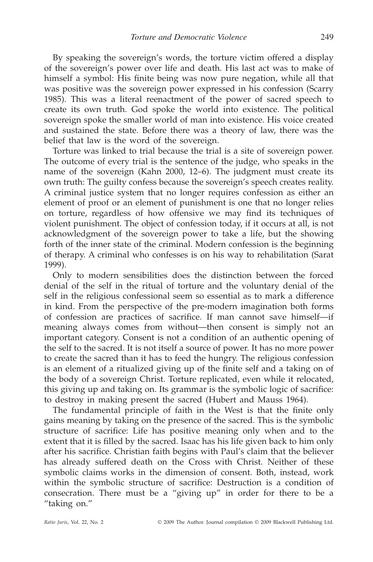By speaking the sovereign's words, the torture victim offered a display of the sovereign's power over life and death. His last act was to make of himself a symbol: His finite being was now pure negation, while all that was positive was the sovereign power expressed in his confession (Scarry 1985). This was a literal reenactment of the power of sacred speech to create its own truth. God spoke the world into existence. The political sovereign spoke the smaller world of man into existence. His voice created and sustained the state. Before there was a theory of law, there was the belief that law is the word of the sovereign.

Torture was linked to trial because the trial is a site of sovereign power. The outcome of every trial is the sentence of the judge, who speaks in the name of the sovereign (Kahn 2000, 12–6). The judgment must create its own truth: The guilty confess because the sovereign's speech creates reality. A criminal justice system that no longer requires confession as either an element of proof or an element of punishment is one that no longer relies on torture, regardless of how offensive we may find its techniques of violent punishment. The object of confession today, if it occurs at all, is not acknowledgment of the sovereign power to take a life, but the showing forth of the inner state of the criminal. Modern confession is the beginning of therapy. A criminal who confesses is on his way to rehabilitation (Sarat 1999).

Only to modern sensibilities does the distinction between the forced denial of the self in the ritual of torture and the voluntary denial of the self in the religious confessional seem so essential as to mark a difference in kind. From the perspective of the pre-modern imagination both forms of confession are practices of sacrifice. If man cannot save himself—if meaning always comes from without—then consent is simply not an important category. Consent is not a condition of an authentic opening of the self to the sacred. It is not itself a source of power. It has no more power to create the sacred than it has to feed the hungry. The religious confession is an element of a ritualized giving up of the finite self and a taking on of the body of a sovereign Christ. Torture replicated, even while it relocated, this giving up and taking on. Its grammar is the symbolic logic of sacrifice: to destroy in making present the sacred (Hubert and Mauss 1964).

The fundamental principle of faith in the West is that the finite only gains meaning by taking on the presence of the sacred. This is the symbolic structure of sacrifice: Life has positive meaning only when and to the extent that it is filled by the sacred. Isaac has his life given back to him only after his sacrifice. Christian faith begins with Paul's claim that the believer has already suffered death on the Cross with Christ. Neither of these symbolic claims works in the dimension of consent. Both, instead, work within the symbolic structure of sacrifice: Destruction is a condition of consecration. There must be a "giving up" in order for there to be a "taking on."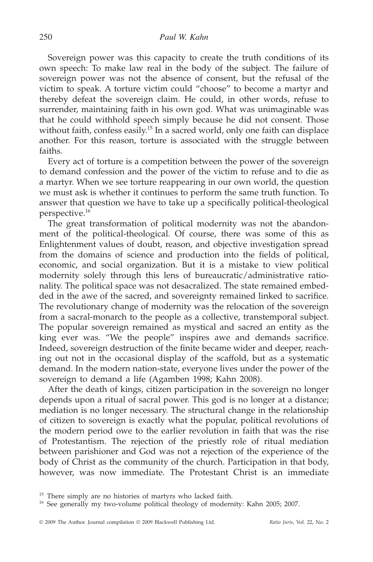Sovereign power was this capacity to create the truth conditions of its own speech: To make law real in the body of the subject. The failure of sovereign power was not the absence of consent, but the refusal of the victim to speak. A torture victim could "choose" to become a martyr and thereby defeat the sovereign claim. He could, in other words, refuse to surrender, maintaining faith in his own god. What was unimaginable was that he could withhold speech simply because he did not consent. Those without faith, confess easily.<sup>15</sup> In a sacred world, only one faith can displace another. For this reason, torture is associated with the struggle between faiths.

Every act of torture is a competition between the power of the sovereign to demand confession and the power of the victim to refuse and to die as a martyr. When we see torture reappearing in our own world, the question we must ask is whether it continues to perform the same truth function. To answer that question we have to take up a specifically political-theological perspective.16

The great transformation of political modernity was not the abandonment of the political-theological. Of course, there was some of this as Enlightenment values of doubt, reason, and objective investigation spread from the domains of science and production into the fields of political, economic, and social organization. But it is a mistake to view political modernity solely through this lens of bureaucratic/administrative rationality. The political space was not desacralized. The state remained embedded in the awe of the sacred, and sovereignty remained linked to sacrifice. The revolutionary change of modernity was the relocation of the sovereign from a sacral-monarch to the people as a collective, transtemporal subject. The popular sovereign remained as mystical and sacred an entity as the king ever was. "We the people" inspires awe and demands sacrifice. Indeed, sovereign destruction of the finite became wider and deeper, reaching out not in the occasional display of the scaffold, but as a systematic demand. In the modern nation-state, everyone lives under the power of the sovereign to demand a life (Agamben 1998; Kahn 2008).

After the death of kings, citizen participation in the sovereign no longer depends upon a ritual of sacral power. This god is no longer at a distance; mediation is no longer necessary. The structural change in the relationship of citizen to sovereign is exactly what the popular, political revolutions of the modern period owe to the earlier revolution in faith that was the rise of Protestantism. The rejection of the priestly role of ritual mediation between parishioner and God was not a rejection of the experience of the body of Christ as the community of the church. Participation in that body, however, was now immediate. The Protestant Christ is an immediate

<sup>&</sup>lt;sup>15</sup> There simply are no histories of martyrs who lacked faith.

<sup>&</sup>lt;sup>16</sup> See generally my two-volume political theology of modernity: Kahn 2005; 2007.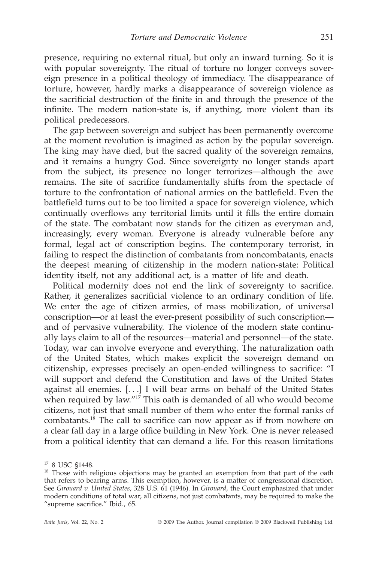presence, requiring no external ritual, but only an inward turning. So it is with popular sovereignty. The ritual of torture no longer conveys sovereign presence in a political theology of immediacy. The disappearance of torture, however, hardly marks a disappearance of sovereign violence as the sacrificial destruction of the finite in and through the presence of the infinite. The modern nation-state is, if anything, more violent than its political predecessors.

The gap between sovereign and subject has been permanently overcome at the moment revolution is imagined as action by the popular sovereign. The king may have died, but the sacred quality of the sovereign remains, and it remains a hungry God. Since sovereignty no longer stands apart from the subject, its presence no longer terrorizes—although the awe remains. The site of sacrifice fundamentally shifts from the spectacle of torture to the confrontation of national armies on the battlefield. Even the battlefield turns out to be too limited a space for sovereign violence, which continually overflows any territorial limits until it fills the entire domain of the state. The combatant now stands for the citizen as everyman and, increasingly, every woman. Everyone is already vulnerable before any formal, legal act of conscription begins. The contemporary terrorist, in failing to respect the distinction of combatants from noncombatants, enacts the deepest meaning of citizenship in the modern nation-state: Political identity itself, not any additional act, is a matter of life and death.

Political modernity does not end the link of sovereignty to sacrifice. Rather, it generalizes sacrificial violence to an ordinary condition of life. We enter the age of citizen armies, of mass mobilization, of universal conscription—or at least the ever-present possibility of such conscription and of pervasive vulnerability. The violence of the modern state continually lays claim to all of the resources—material and personnel—of the state. Today, war can involve everyone and everything. The naturalization oath of the United States, which makes explicit the sovereign demand on citizenship, expresses precisely an open-ended willingness to sacrifice: "I will support and defend the Constitution and laws of the United States against all enemies. [. . .] I will bear arms on behalf of the United States when required by law."<sup>17</sup> This oath is demanded of all who would become citizens, not just that small number of them who enter the formal ranks of combatants.18 The call to sacrifice can now appear as if from nowhere on a clear fall day in a large office building in New York. One is never released from a political identity that can demand a life. For this reason limitations

<sup>17</sup> 8 USC §1448.

<sup>&</sup>lt;sup>18</sup> Those with religious objections may be granted an exemption from that part of the oath that refers to bearing arms. This exemption, however, is a matter of congressional discretion. See *Girouard v. United States*, 328 U.S. 61 (1946). In *Girouard*, the Court emphasized that under modern conditions of total war, all citizens, not just combatants, may be required to make the "supreme sacrifice." Ibid., 65.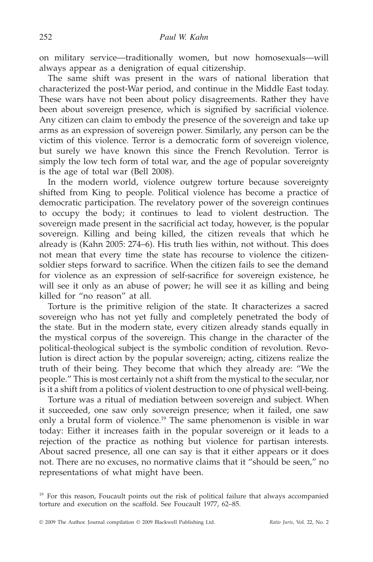on military service—traditionally women, but now homosexuals—will always appear as a denigration of equal citizenship.

The same shift was present in the wars of national liberation that characterized the post-War period, and continue in the Middle East today. These wars have not been about policy disagreements. Rather they have been about sovereign presence, which is signified by sacrificial violence. Any citizen can claim to embody the presence of the sovereign and take up arms as an expression of sovereign power. Similarly, any person can be the victim of this violence. Terror is a democratic form of sovereign violence, but surely we have known this since the French Revolution. Terror is simply the low tech form of total war, and the age of popular sovereignty is the age of total war (Bell 2008).

In the modern world, violence outgrew torture because sovereignty shifted from King to people. Political violence has become a practice of democratic participation. The revelatory power of the sovereign continues to occupy the body; it continues to lead to violent destruction. The sovereign made present in the sacrificial act today, however, is the popular sovereign. Killing and being killed, the citizen reveals that which he already is (Kahn 2005: 274–6). His truth lies within, not without. This does not mean that every time the state has recourse to violence the citizensoldier steps forward to sacrifice. When the citizen fails to see the demand for violence as an expression of self-sacrifice for sovereign existence, he will see it only as an abuse of power; he will see it as killing and being killed for "no reason" at all.

Torture is the primitive religion of the state. It characterizes a sacred sovereign who has not yet fully and completely penetrated the body of the state. But in the modern state, every citizen already stands equally in the mystical corpus of the sovereign. This change in the character of the political-theological subject is the symbolic condition of revolution. Revolution is direct action by the popular sovereign; acting, citizens realize the truth of their being. They become that which they already are: "We the people." This is most certainly not a shift from the mystical to the secular, nor is it a shift from a politics of violent destruction to one of physical well-being.

Torture was a ritual of mediation between sovereign and subject. When it succeeded, one saw only sovereign presence; when it failed, one saw only a brutal form of violence.19 The same phenomenon is visible in war today: Either it increases faith in the popular sovereign or it leads to a rejection of the practice as nothing but violence for partisan interests. About sacred presence, all one can say is that it either appears or it does not. There are no excuses, no normative claims that it "should be seen," no representations of what might have been.

<sup>&</sup>lt;sup>19</sup> For this reason, Foucault points out the risk of political failure that always accompanied torture and execution on the scaffold. See Foucault 1977, 62-85.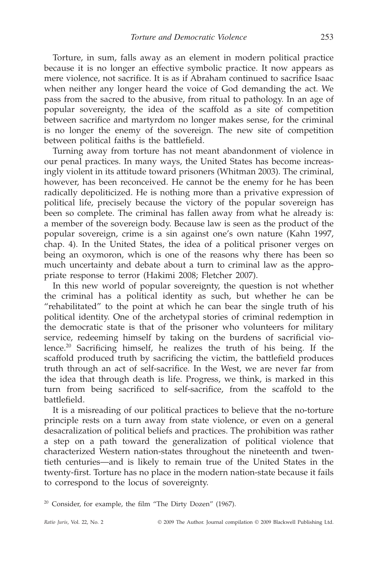Torture, in sum, falls away as an element in modern political practice because it is no longer an effective symbolic practice. It now appears as mere violence, not sacrifice. It is as if Abraham continued to sacrifice Isaac when neither any longer heard the voice of God demanding the act. We pass from the sacred to the abusive, from ritual to pathology. In an age of popular sovereignty, the idea of the scaffold as a site of competition between sacrifice and martyrdom no longer makes sense, for the criminal is no longer the enemy of the sovereign. The new site of competition between political faiths is the battlefield.

Turning away from torture has not meant abandonment of violence in our penal practices. In many ways, the United States has become increasingly violent in its attitude toward prisoners (Whitman 2003). The criminal, however, has been reconceived. He cannot be the enemy for he has been radically depoliticized. He is nothing more than a privative expression of political life, precisely because the victory of the popular sovereign has been so complete. The criminal has fallen away from what he already is: a member of the sovereign body. Because law is seen as the product of the popular sovereign, crime is a sin against one's own nature (Kahn 1997, chap. 4). In the United States, the idea of a political prisoner verges on being an oxymoron, which is one of the reasons why there has been so much uncertainty and debate about a turn to criminal law as the appropriate response to terror (Hakimi 2008; Fletcher 2007).

In this new world of popular sovereignty, the question is not whether the criminal has a political identity as such, but whether he can be "rehabilitated" to the point at which he can bear the single truth of his political identity. One of the archetypal stories of criminal redemption in the democratic state is that of the prisoner who volunteers for military service, redeeming himself by taking on the burdens of sacrificial violence.20 Sacrificing himself, he realizes the truth of his being. If the scaffold produced truth by sacrificing the victim, the battlefield produces truth through an act of self-sacrifice. In the West, we are never far from the idea that through death is life. Progress, we think, is marked in this turn from being sacrificed to self-sacrifice, from the scaffold to the battlefield.

It is a misreading of our political practices to believe that the no-torture principle rests on a turn away from state violence, or even on a general desacralization of political beliefs and practices. The prohibition was rather a step on a path toward the generalization of political violence that characterized Western nation-states throughout the nineteenth and twentieth centuries—and is likely to remain true of the United States in the twenty-first. Torture has no place in the modern nation-state because it fails to correspond to the locus of sovereignty.

<sup>20</sup> Consider, for example, the film "The Dirty Dozen" (1967).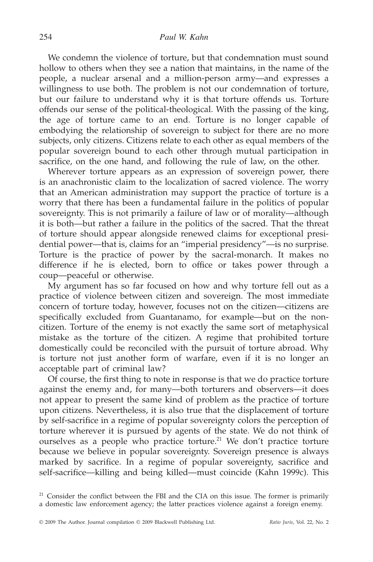We condemn the violence of torture, but that condemnation must sound hollow to others when they see a nation that maintains, in the name of the people, a nuclear arsenal and a million-person army—and expresses a willingness to use both. The problem is not our condemnation of torture, but our failure to understand why it is that torture offends us. Torture offends our sense of the political-theological. With the passing of the king, the age of torture came to an end. Torture is no longer capable of embodying the relationship of sovereign to subject for there are no more subjects, only citizens. Citizens relate to each other as equal members of the popular sovereign bound to each other through mutual participation in sacrifice, on the one hand, and following the rule of law, on the other.

Wherever torture appears as an expression of sovereign power, there is an anachronistic claim to the localization of sacred violence. The worry that an American administration may support the practice of torture is a worry that there has been a fundamental failure in the politics of popular sovereignty. This is not primarily a failure of law or of morality—although it is both—but rather a failure in the politics of the sacred. That the threat of torture should appear alongside renewed claims for exceptional presidential power—that is, claims for an "imperial presidency"—is no surprise. Torture is the practice of power by the sacral-monarch. It makes no difference if he is elected, born to office or takes power through a coup—peaceful or otherwise.

My argument has so far focused on how and why torture fell out as a practice of violence between citizen and sovereign. The most immediate concern of torture today, however, focuses not on the citizen—citizens are specifically excluded from Guantanamo, for example—but on the noncitizen. Torture of the enemy is not exactly the same sort of metaphysical mistake as the torture of the citizen. A regime that prohibited torture domestically could be reconciled with the pursuit of torture abroad. Why is torture not just another form of warfare, even if it is no longer an acceptable part of criminal law?

Of course, the first thing to note in response is that we do practice torture against the enemy and, for many—both torturers and observers—it does not appear to present the same kind of problem as the practice of torture upon citizens. Nevertheless, it is also true that the displacement of torture by self-sacrifice in a regime of popular sovereignty colors the perception of torture wherever it is pursued by agents of the state. We do not think of ourselves as a people who practice torture.<sup>21</sup> We don't practice torture because we believe in popular sovereignty. Sovereign presence is always marked by sacrifice. In a regime of popular sovereignty, sacrifice and self-sacrifice—killing and being killed—must coincide (Kahn 1999c). This

<sup>21</sup> Consider the conflict between the FBI and the CIA on this issue. The former is primarily a domestic law enforcement agency; the latter practices violence against a foreign enemy.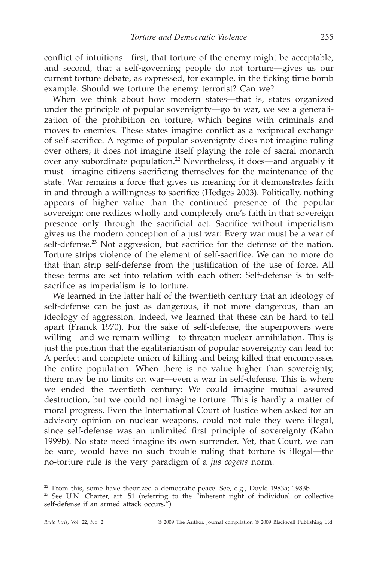conflict of intuitions—first, that torture of the enemy might be acceptable, and second, that a self-governing people do not torture—gives us our current torture debate, as expressed, for example, in the ticking time bomb example. Should we torture the enemy terrorist? Can we?

When we think about how modern states—that is, states organized under the principle of popular sovereignty—go to war, we see a generalization of the prohibition on torture, which begins with criminals and moves to enemies. These states imagine conflict as a reciprocal exchange of self-sacrifice. A regime of popular sovereignty does not imagine ruling over others; it does not imagine itself playing the role of sacral monarch over any subordinate population.22 Nevertheless, it does—and arguably it must—imagine citizens sacrificing themselves for the maintenance of the state. War remains a force that gives us meaning for it demonstrates faith in and through a willingness to sacrifice (Hedges 2003). Politically, nothing appears of higher value than the continued presence of the popular sovereign; one realizes wholly and completely one's faith in that sovereign presence only through the sacrificial act. Sacrifice without imperialism gives us the modern conception of a just war: Every war must be a war of self-defense.<sup>23</sup> Not aggression, but sacrifice for the defense of the nation. Torture strips violence of the element of self-sacrifice. We can no more do that than strip self-defense from the justification of the use of force. All these terms are set into relation with each other: Self-defense is to selfsacrifice as imperialism is to torture.

We learned in the latter half of the twentieth century that an ideology of self-defense can be just as dangerous, if not more dangerous, than an ideology of aggression. Indeed, we learned that these can be hard to tell apart (Franck 1970). For the sake of self-defense, the superpowers were willing—and we remain willing—to threaten nuclear annihilation. This is just the position that the egalitarianism of popular sovereignty can lead to: A perfect and complete union of killing and being killed that encompasses the entire population. When there is no value higher than sovereignty, there may be no limits on war—even a war in self-defense. This is where we ended the twentieth century: We could imagine mutual assured destruction, but we could not imagine torture. This is hardly a matter of moral progress. Even the International Court of Justice when asked for an advisory opinion on nuclear weapons, could not rule they were illegal, since self-defense was an unlimited first principle of sovereignty (Kahn 1999b). No state need imagine its own surrender. Yet, that Court, we can be sure, would have no such trouble ruling that torture is illegal—the no-torture rule is the very paradigm of a *jus cogens* norm.

<sup>&</sup>lt;sup>22</sup> From this, some have theorized a democratic peace. See, e.g., Doyle 1983a; 1983b.

<sup>&</sup>lt;sup>23</sup> See U.N. Charter, art. 51 (referring to the "inherent right of individual or collective self-defense if an armed attack occurs.")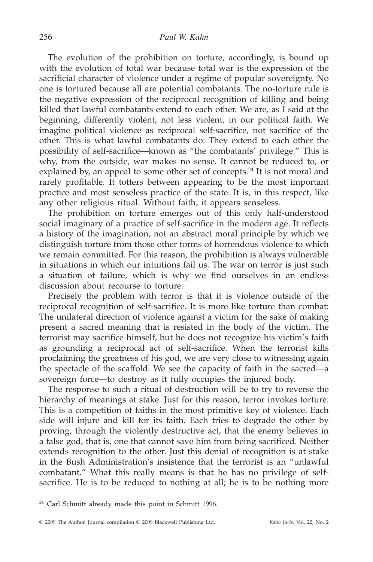The evolution of the prohibition on torture, accordingly, is bound up with the evolution of total war because total war is the expression of the sacrificial character of violence under a regime of popular sovereignty. No one is tortured because all are potential combatants. The no-torture rule is the negative expression of the reciprocal recognition of killing and being killed that lawful combatants extend to each other. We are, as I said at the beginning, differently violent, not less violent, in our political faith. We imagine political violence as reciprocal self-sacrifice, not sacrifice of the other. This is what lawful combatants do: They extend to each other the possibility of self-sacrifice—known as "the combatants' privilege." This is why, from the outside, war makes no sense. It cannot be reduced to, or explained by, an appeal to some other set of concepts.<sup>24</sup> It is not moral and rarely profitable. It totters between appearing to be the most important practice and most senseless practice of the state. It is, in this respect, like any other religious ritual. Without faith, it appears senseless.

The prohibition on torture emerges out of this only half-understood social imaginary of a practice of self-sacrifice in the modern age. It reflects a history of the imagination, not an abstract moral principle by which we distinguish torture from those other forms of horrendous violence to which we remain committed. For this reason, the prohibition is always vulnerable in situations in which our intuitions fail us. The war on terror is just such a situation of failure, which is why we find ourselves in an endless discussion about recourse to torture.

Precisely the problem with terror is that it is violence outside of the reciprocal recognition of self-sacrifice. It is more like torture than combat: The unilateral direction of violence against a victim for the sake of making present a sacred meaning that is resisted in the body of the victim. The terrorist may sacrifice himself, but he does not recognize his victim's faith as grounding a reciprocal act of self-sacrifice. When the terrorist kills proclaiming the greatness of his god, we are very close to witnessing again the spectacle of the scaffold. We see the capacity of faith in the sacred—a sovereign force—to destroy as it fully occupies the injured body.

The response to such a ritual of destruction will be to try to reverse the hierarchy of meanings at stake. Just for this reason, terror invokes torture. This is a competition of faiths in the most primitive key of violence. Each side will injure and kill for its faith. Each tries to degrade the other by proving, through the violently destructive act, that the enemy believes in a false god, that is, one that cannot save him from being sacrificed. Neither extends recognition to the other. Just this denial of recognition is at stake in the Bush Administration's insistence that the terrorist is an "unlawful combatant." What this really means is that he has no privilege of selfsacrifice. He is to be reduced to nothing at all; he is to be nothing more

<sup>24</sup> Carl Schmitt already made this point in Schmitt 1996.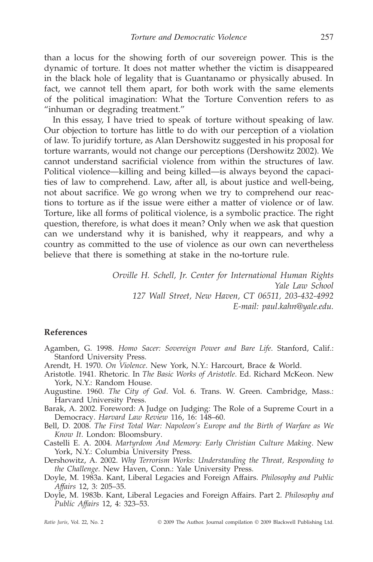than a locus for the showing forth of our sovereign power. This is the dynamic of torture. It does not matter whether the victim is disappeared in the black hole of legality that is Guantanamo or physically abused. In fact, we cannot tell them apart, for both work with the same elements of the political imagination: What the Torture Convention refers to as "inhuman or degrading treatment."

In this essay, I have tried to speak of torture without speaking of law. Our objection to torture has little to do with our perception of a violation of law. To juridify torture, as Alan Dershowitz suggested in his proposal for torture warrants, would not change our perceptions (Dershowitz 2002). We cannot understand sacrificial violence from within the structures of law. Political violence—killing and being killed—is always beyond the capacities of law to comprehend. Law, after all, is about justice and well-being, not about sacrifice. We go wrong when we try to comprehend our reactions to torture as if the issue were either a matter of violence or of law. Torture, like all forms of political violence, is a symbolic practice. The right question, therefore, is what does it mean? Only when we ask that question can we understand why it is banished, why it reappears, and why a country as committed to the use of violence as our own can nevertheless believe that there is something at stake in the no-torture rule.

> *Orville H. Schell, Jr. Center for International Human Rights Yale Law School 127 Wall Street, New Haven, CT 06511, 203-432-4992 E-mail: paul[.kahn@yale.edu.](mailto:kahn@yale.edu)*

## **References**

- Agamben, G. 1998. *Homo Sacer: Sovereign Power and Bare Life*. Stanford, Calif.: Stanford University Press.
- Arendt, H. 1970. *On Violence*. New York, N.Y.: Harcourt, Brace & World.
- Aristotle. 1941. Rhetoric. In *The Basic Works of Aristotle*. Ed. Richard McKeon. New York, N.Y.: Random House.
- Augustine. 1960. *The City of God*. Vol. 6. Trans. W. Green. Cambridge, Mass.: Harvard University Press.
- Barak, A. 2002. Foreword: A Judge on Judging: The Role of a Supreme Court in a Democracy. *Harvard Law Review* 116, 16: 148–60.
- Bell, D. 2008. *The First Total War: Napoleon's Europe and the Birth of Warfare as We Know It*. London: Bloomsbury.
- Castelli E. A. 2004. *Martyrdom And Memory: Early Christian Culture Making*. New York, N.Y.: Columbia University Press.

Dershowitz, A. 2002. *Why Terrorism Works: Understanding the Threat, Responding to the Challenge*. New Haven, Conn.: Yale University Press.

- Doyle, M. 1983a. Kant, Liberal Legacies and Foreign Affairs. *Philosophy and Public Affairs* 12, 3: 205–35.
- Doyle, M. 1983b. Kant, Liberal Legacies and Foreign Affairs. Part 2. *Philosophy and Public Affairs* 12, 4: 323–53.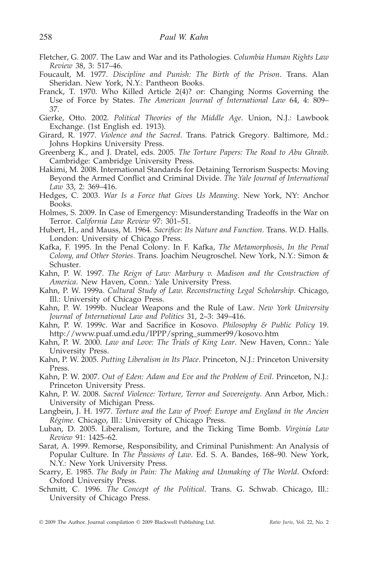- Fletcher, G. 2007. The Law and War and its Pathologies. *Columbia Human Rights Law Review* 38, 3: 517–46.
- Foucault, M. 1977. *Discipline and Punish: The Birth of the Prison*. Trans. Alan Sheridan. New York, N.Y.: Pantheon Books.
- Franck, T. 1970. Who Killed Article 2(4)? or: Changing Norms Governing the Use of Force by States. *The American Journal of International Law* 64, 4: 809– 37.
- Gierke, Otto. 2002. *Political Theories of the Middle Age*. Union, N.J.: Lawbook Exchange. (1st English ed. 1913).
- Girard, R. 1977. *Violence and the Sacred*. Trans. Patrick Gregory. Baltimore, Md.: Johns Hopkins University Press.
- Greenberg K., and J. Dratel, eds. 2005. *The Torture Papers: The Road to Abu Ghraib*. Cambridge: Cambridge University Press.
- Hakimi, M. 2008. International Standards for Detaining Terrorism Suspects: Moving Beyond the Armed Conflict and Criminal Divide. *The Yale Journal of International Law* 33, 2: 369–416.
- Hedges, C. 2003. *War Is a Force that Gives Us Meaning*. New York, NY: Anchor Books.
- Holmes, S. 2009. In Case of Emergency: Misunderstanding Tradeoffs in the War on Terror. *California Law Review* 97: 301–51.
- Hubert, H., and Mauss, M. 1964. *Sacrifice: Its Nature and Function*. Trans. W.D. Halls. London: University of Chicago Press.
- Kafka, F. 1995. In the Penal Colony. In F. Kafka, *The Metamorphosis, In the Penal Colony, and Other Stories*. Trans. Joachim Neugroschel. New York, N.Y.: Simon & Schuster.
- Kahn, P. W. 1997. *The Reign of Law: Marbury v. Madison and the Construction of America*. New Haven, Conn.: Yale University Press.
- Kahn, P. W. 1999a. *Cultural Study of Law. Reconstructing Legal Scholarship*. Chicago, Ill.: University of Chicago Press.
- Kahn, P. W. 1999b. Nuclear Weapons and the Rule of Law. *New York University Journal of International Law and Politics* 31, 2–3: 349–416.
- Kahn, P. W. 1999c. War and Sacrifice in Kosovo. *Philosophy & Public Policy* 19. [http://www.puaf.umd.edu/IPPP/spring\\_summer99/kosovo.htm](http://www.puaf.umd.edu/IPPP/spring_summer99/kosovo.htm)
- Kahn, P. W. 2000. *Law and Love: The Trials of King Lear*. New Haven, Conn.: Yale University Press.
- Kahn, P. W. 2005. *Putting Liberalism in Its Place*. Princeton, N.J.: Princeton University Press.
- Kahn, P. W. 2007. *Out of Eden: Adam and Eve and the Problem of Evil*. Princeton, N.J.: Princeton University Press.
- Kahn, P. W. 2008. *Sacred Violence: Torture, Terror and Sovereignty*. Ann Arbor, Mich.: University of Michigan Press.
- Langbein, J. H. 1977. *Torture and the Law of Proof: Europe and England in the Ancien Régime*. Chicago, Ill.: University of Chicago Press.
- Luban, D. 2005. Liberalism, Torture, and the Ticking Time Bomb. *Virginia Law Review* 91: 1425–62.
- Sarat, A. 1999. Remorse, Responsibility, and Criminal Punishment: An Analysis of Popular Culture. In *The Passions of Law*. Ed. S. A. Bandes, 168–90. New York, N.Y.: New York University Press.
- Scarry, E. 1985. *The Body in Pain: The Making and Unmaking of The World*. Oxford: Oxford University Press.
- Schmitt, C. 1996. *The Concept of the Political*. Trans. G. Schwab. Chicago, Ill.: University of Chicago Press.